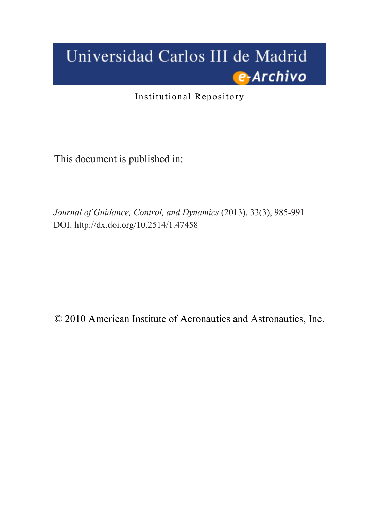# Universidad Carlos III de Madrid e-Archivo

Institutional Repository

This document is published in:

*Journal of Guidance, Control, and Dynamics* (2013). 33(3), 985-991. DOI: <http://dx.doi.org/10.2514/1.47458>

© 2010 American Institute of Aeronautics and Astronautics, Inc.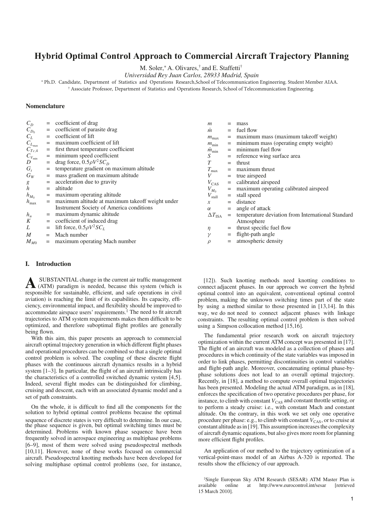# **Hybrid Optimal Control Approach to Commercial Aircraft Trajectory Planning**

M. Soler,<sup>∗</sup> A. Olivares,† and E. Staffetti†

Universidad Rey Juan Carlos, 28933 Madrid, Spain

∗ Ph.D. Candidate, Department of Statistics and Operations Research,School of Telecommunication Engineering. Student Member AIAA.

† Associate Professor, Department of Statistics and Operations Research, School of Telecommunication Engineering.

# Nomenclature

| $C_D$             |     | coefficient of drag                              | m                    |     | mass                                              |
|-------------------|-----|--------------------------------------------------|----------------------|-----|---------------------------------------------------|
| $C_{D_0}$         | $=$ | coefficient of parasite drag                     | $\dot{m}$            | $=$ | fuel flow                                         |
| $C_L$             |     | coefficient of lift                              | $m_{\text{max}}$     |     | maximum mass (maximum takeoff weight)             |
| $C_{L_{\rm max}}$ |     | maximum coefficient of lift                      | $m_{\min}$           |     | minimum mass (operating empty weight)             |
| $C_{Tc,4}$        |     | first thrust temperature coefficient             | $m_{\min}$           |     | minimum fuel flow                                 |
| $C_{V_{\min}}$    |     | minimum speed coefficient                        | S                    |     | reference wing surface area                       |
| D                 |     | drag force, $0.5\rho V^2SC_D$                    |                      | $=$ | thrust                                            |
| $G_t$             | $=$ | temperature gradient on maximum altitude         | $T_{\rm max}$        |     | maximum thrust                                    |
| $G_W$             |     | mass gradient on maximum altitude                | V                    | $=$ | true airspeed                                     |
| g                 |     | acceleration due to gravity                      | $V_{\rm CAS}$        | $=$ | calibrated airspeed                               |
| h                 | $=$ | altitude                                         | $V_{M_0}$            |     | maximum operating calibrated airspeed             |
| $h_{M_0}$         | $=$ | maximum operating altitude                       | $V_{\text{stall}}$   | $=$ | stall speed                                       |
| $h_{\text{max}}$  |     | maximum altitude at maximum takeoff weight under | х                    | $=$ | distance                                          |
|                   |     | Instrument Society of America conditions         | α                    | $=$ | angle of attack                                   |
| $h_u$             |     | maximum dynamic altitude                         | $\Delta T_{\rm ISA}$ |     | temperature deviation from International Standard |
| Κ                 | $=$ | coefficient of induced drag                      |                      |     | Atmosphere                                        |
| L                 |     | lift force, $0.5\rho V^2SC_L$                    | η                    |     | thrust specific fuel flow                         |
| M                 | $=$ | Mach number                                      | $\mathcal V$         | $=$ | flight-path angle                                 |
| $M_{M0}$          |     | maximum operating Mach number                    |                      | $=$ | atmospheric density                               |

## I. Introduction

A SUBSTANTIAL change in the current air traffic management (ATM) paradigm is needed, because this system (which is responsible for sustainable, efficient, and safe operations in civil aviation) is reaching the limit of its capabilities. Its capacity, efficiency, environmental impact, and flexibility should be improved to accommodate airspace users' requirements.‡ The need to fit aircraft trajectories to ATM system requirements makes them difficult to be optimized, and therefore suboptimal flight profiles are generally being flown.

With this aim, this paper presents an approach to commercial aircraft optimal trajectory generation in which different flight phases and operational procedures can be combined so that a single optimal control problem is solved. The coupling of these discrete flight phases with the continuous aircraft dynamics results in a hybrid system [1–3]. In particular, the flight of an aircraft intrinsically has the characteristics of a controlled switched dynamic system [4,5]. Indeed, several flight modes can be distinguished for climbing, cruising and descent, each with an associated dynamic model and a set of path constraints.

On the whole, it is difficult to find all the components for the solution to hybrid optimal control problems because the optimal sequence of discrete states is very difficult to determine. In our case, the phase sequence is given, but optimal switching times must be determined. Problems with known phase sequence have been frequently solved in aerospace engineering as multiphase problems [6–9], most of them were solved using pseudospectral methods [10,11]. However, none of these works focused on commercial aircraft. Pseudospectral knotting methods have been developed for solving multiphase optimal control problems (see, for instance,

[12]). Such knotting methods need knotting conditions to connect adjacent phases. In our approach we convert the hybrid optimal control into an equivalent, conventional optimal control problem, making the unknown switching times part of the state by using a method similar to those presented in [13,14]. In this way, we do not need to connect adjacent phases with linkage constraints. The resulting optimal control problem is then solved using a Simpson collocation method [15,16].

The fundamental prior research work on aircraft trajectory optimization within the current ATM concept was presented in [17]. The flight of an aircraft was modeled as a collection of phases and procedures in which continuity of the state variables was imposed in order to link phases, permitting discontinuities in control variables and flight-path angle. Moreover, concatenating optimal phase-byphase solutions does not lead to an overall optimal trajectory. Recently, in [18], a method to compute overall optimal trajectories has been presented. Modeling the actual ATM paradigm, as in [18], enforces the specification of two operative procedures per phase, for instance, to climb with constant  $V_{\text{CAS}}$  and constant throttle setting, or to perform a steady cruise: i.e., with constant Mach and constant altitude. On the contrary, in this work we set only one operative procedure per phase: e.g., to climb with constant  $V_{\text{CAS}}$ , or to cruise at constant altitude as in [19]. This assumption increases the complexity of aircraft dynamic equations, but also gives more room for planning more efficient flight profiles.

An application of our method to the trajectory optimization of a vertical-point-mass model of an Airbus A-320 is reported. The results show the efficiency of our approach.

‡ Single European Sky ATM Research (SESAR) ATM Master Plan is available online at http://www.eurocontrol.int/sesar [retrieved 15 March 2010].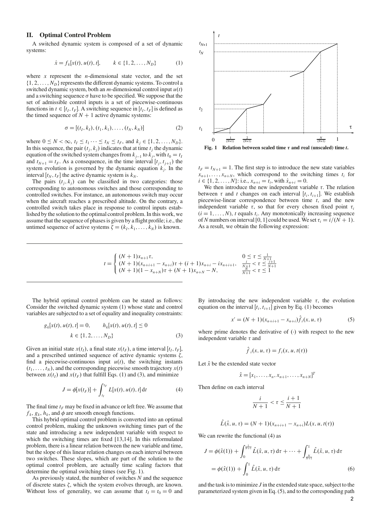# II. Optimal Control Problem

A switched dynamic system is composed of a set of dynamic systems:

$$
\dot{x} = f_k[x(t), u(t), t], \qquad k \in \{1, 2, \dots, N_D\}
$$
 (1)

where  $x$  represent the *n*-dimensional state vector, and the set  $\{1, 2, \ldots, N_D\}$  represents the different dynamic systems. To control a switched dynamic system, both an  $m$ -dimensional control input  $u(t)$ and a switching sequence  $\sigma$  have to be specified. We suppose that the set of admissible control inputs is a set of piecewise-continuous functions in  $t \in [t_I, t_F]$ . A switching sequence in  $[t_I, t_F]$  is defined as the timed sequence of  $N + 1$  active dynamic systems:

$$
\sigma = [(t_1, k_1), (t_1, k_1), \dots, (t_N, k_N)]
$$
\n(2)

where  $0 \le N < \infty$ ,  $t_I \le t_1 \cdots \le t_N \le t_F$ , and  $k_j \in \{1, 2, ..., N_D\}$ . In this sequence, the pair  $(t<sub>i</sub>, k<sub>j</sub>)$  indicates that at time  $t<sub>j</sub>$  the dynamic equation of the switched system changes from  $k_{j-1}$  to  $k_j$ , with  $t_0 = t_I$ and  $t_{N+1} = t_F$ . As a consequence, in the time interval  $[t_j, t_{j+1})$  the system evolution is governed by the dynamic equation  $k_j$ . In the interval  $[t_N, t_F]$  the active dynamic system is  $k_N$ .

The pairs  $(t_i, k_i)$  can be classified in two categories: those corresponding to autonomous switches and those corresponding to controlled switches. For instance, an autonomous switch may occur when the aircraft reaches a prescribed altitude. On the contrary, a controlled switch takes place in response to control inputs established by the solution to the optimal control problem. In this work, we assume that the sequence of phases is given by a flight profile; i.e., the untimed sequence of active systems  $\zeta = (k_1, k_1, \dots, k_N)$  is known.



Fig. 1 Relation between scaled time  $\tau$  and real (unscaled) time t.

 $t_F = t_{N+1} = 1$ . The first step is to introduce the new state variables  $x_{n+1}, \ldots, x_{n+N}$ , which correspond to the switching times  $t_i$  for  $i \in \{1, 2, \ldots, N\}$ : i.e.,  $x_{n+i} = t_i$ , with  $\dot{x}_{n+i} = 0$ .

We then introduce the new independent variable  $\tau$ . The relation between  $\tau$  and  $t$  changes on each interval  $[t_i, t_{i+1}]$ . We establish piecewise-linear correspondence between time *t*, and the new independent variable  $\tau$ , so that for every chosen fixed point  $\tau$  $(i = 1, \ldots, N)$ , *t* equals  $t_i$ . Any monotonically increasing sequence of *N* numbers on interval [0, 1] could be used. We set  $\tau_i = i/(N + 1)$ . As a result, we obtain the following expression:

$$
t = \begin{cases} (N+1)x_{n+1}\tau, & 0 \le \tau \le \frac{1}{N+1} \\ (N+1)(x_{n+i+1} - x_{n+i})\tau + (i+1)x_{n+i} - ix_{n+i+1}, & \frac{i}{N+1} < \tau \le \frac{i+1}{N+1} \\ (N+1)(1 - x_{n+N})\tau + (N+1)x_{n+N} - N, & \frac{N}{N+1} < \tau \le 1 \end{cases}
$$

The hybrid optimal control problem can be stated as follows: Consider the switched dynamic system (1) whose state and control variables are subjected to a set of equality and inequality constraints:

$$
g_k[x(t), u(t), t] = 0, \t h_k[x(t), u(t), t] \le 0
$$
  

$$
k \in \{1, 2, ..., N_D\}
$$
 (3)

Given an initial state  $x(t_I)$ , a final state  $x(t_F)$ , a time interval  $[t_I, t_F]$ , and a prescribed untimed sequence of active dynamic systems  $\zeta$ , find a piecewise-continuous input  $u(t)$ , the switching instants  $(t_1, \ldots, t_N)$ , and the corresponding piecewise smooth trajectory  $x(t)$ between  $x(t)$  and  $x(t)$  that fulfill Eqs. (1) and (3), and minimize

$$
J = \phi[x(t_F)] + \int_{t_I}^{t_F} L[x(t), u(t), t] dt
$$
 (4)

The final time  $t_F$  may be fixed in advance or left free. We assume that  $f_k$ ,  $g_k$ ,  $h_k$ , and  $\phi$  are smooth enough functions.

This hybrid optimal control problem is converted into an optimal control problem, making the unknown switching times part of the state and introducing a new independent variable with respect to which the switching times are fixed [13,14]. In this reformulated problem, there is a linear relation between the new variable and time, but the slope of this linear relation changes on each interval between two switches. These slopes, which are part of the solution to the optimal control problem, are actually time scaling factors that determine the optimal switching times (see Fig. 1).

As previously stated, the number of switches *N* and the sequence of discrete states  $\zeta$ , which the system evolves through, are known. Without loss of generality, we can assume that  $t_1 = t_0 = 0$  and By introducing the new independent variable  $\tau$ , the evolution equation on the interval  $[t_i, t_{i+1}]$  given by Eq. (1) becomes

$$
x' = (N+1)(x_{n+i+1} - x_{n+i})\hat{f}_i(x, u, \tau)
$$
\n(5)

where prime denotes the derivative of  $(\cdot)$  with respect to the new independent variable  $\tau$  and

$$
\hat{f}_i(x, u, \tau) = f_i(x, u, t(\tau))
$$

Let  $\hat{x}$  be the extended state vector

$$
\hat{x} = [x_1, \ldots, x_n, x_{n+1}, \ldots, x_{n+N}]^T
$$

Then define on each interval

$$
\frac{i}{N+1} < \tau \le \frac{i+1}{N+1}
$$

$$
\hat{L}(\hat{x}, u, \tau) = (N + 1)(x_{n+i+1} - x_{n+i})L(x, u, t(\tau))
$$

We can rewrite the functional  $(4)$  as

$$
J = \phi(\hat{x}(1)) + \int_0^{\frac{1}{N+1}} \hat{L}(\hat{x}, u, \tau) d\tau + \dots + \int_{\frac{N}{N+1}}^1 \hat{L}(\hat{x}, u, \tau) d\tau
$$
  
=  $\phi(\hat{x}(1)) + \int_0^1 \hat{L}(\hat{x}, u, \tau) d\tau$  (6)

and the task is to minimize *J* in the extended state space, subject to the parameterized system given in Eq. (5), and to the corresponding path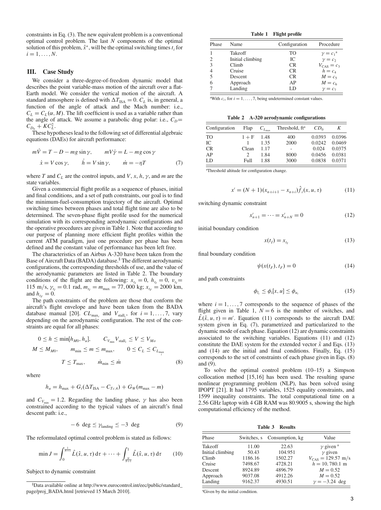constraints in Eq. (3). The new equivalent problem is a conventional optimal control problem. The last *N* components of the optimal solution of this problem,  $\hat{x}^*$ , will be the optimal switching times  $t_i$  for  $i = 1, \ldots, N$ .

#### III. Case Study

We consider a three-degree-of-freedom dynamic model that describes the point variable-mass motion of the aircraft over a flat-Earth model. We consider the vertical motion of the aircraft. A standard atmosphere is defined with  $\Delta T_{\text{ISA}} = 0$ .  $C_L$  is, in general, a function of the angle of attack and the Mach number: i.e.,  $C_L = C_L(\alpha, M)$ . The lift coefficient is used as a variable rather than the angle of attack. We assume a parabolic drag polar: i.e.,  $C_D$ =  $C_{D_0} + KC_L^2$ .

These hypotheses lead to the following set of differential algebraic equations (DAEs) for aircraft performance:

$$
m\dot{V} = T - D - mg\sin\gamma, \qquad mV\dot{\gamma} = L - mg\cos\gamma
$$
  

$$
\dot{x} = V\cos\gamma, \qquad \dot{h} = V\sin\gamma, \qquad \dot{m} = -\eta T
$$
 (7)

where *T* and  $C_L$  are the control inputs, and *V*, *x*, *h*,  $\gamma$ , and *m* are the state variables.

Given a commercial flight profile as a sequence of phases, initial and final conditions, and a set of path constraints, our goal is to find the minimum-fuel-consumption trajectory of the aircraft. Optimal switching times between phases and total flight time are also to be determined. The seven-phase flight profile used for the numerical simulation with its corresponding aerodynamic configurations and the operative procedures are given in Table 1. Note that according to our purpose of planning more efficient flight profiles within the current ATM paradigm, just one procedure per phase has been defined and the constant value of performance has been left free.

The characteristics of an Airbus A-320 have been taken from the Base of Aircraft Data (BADA) database.<sup>§</sup> The different aerodynamic configurations, the corresponding thresholds of use, and the value of the aerodynamic parameters are listed in Table 2. The boundary conditions of the flight are the following:  $x_{t_1} = 0$ ,  $h_{t_1} = 0$ ,  $v_{t_1} = 0$ 115 m/s,  $\gamma_{t_I} = 0.1$  rad,  $m_{t_I} = m_{\text{max}} = 77,000$  kg;  $x_{t_F} = 2000$  km, and  $h_{t_F} = 0$ .

The path constraints of the problem are those that conform the aircraft's flight envelope and have been taken from the BADA database manual [20].  $CL_{\text{max}_i}$  and  $V_{\text{stall}_i}$ , for  $i = 1, \ldots, 7$ , vary depending on the aerodynamic configuration. The rest of the constraints are equal for all phases:

$$
0 \le h \le \min[h_{M0}, h_u], \qquad C_{V_{\min}} V_{\text{stall}_i} \le V \le V_{M0}
$$
  

$$
M \le M_{M0}, \qquad m_{\min} \le m \le m_{\max}, \qquad 0 \le C_L \le C_{L_{\max}}
$$
  

$$
T \le T_{\max}, \qquad \dot{m}_{\min} \le \dot{m}
$$
 (8)

where

$$
h_u = h_{\text{max}} + G_t(\Delta T_{\text{ISA}} - C_{T_{c,4}}) + G_W(m_{\text{max}} - m)
$$

and  $C_{V_{\text{min}}} = 1.2$ . Regarding the landing phase,  $\gamma$  has also been constrained according to the typical values of an aircraft's final descent path: i.e.,

$$
-6 \deg \leq \gamma_{\text{landing}} \leq -3 \deg \tag{9}
$$

The reformulated optimal control problem is stated as follows:

$$
\min J = \int_0^{\frac{1}{N+1}} \hat{L}(\hat{x}, u, \tau) d\tau + \dots + \int_{\frac{N}{N+1}}^1 \hat{L}(\hat{x}, u, \tau) d\tau \qquad (10)
$$

Subject to dynamic constraint

Table 1 Flight profile

| Phase | Name             | Configuration  | Procedure              |
|-------|------------------|----------------|------------------------|
|       | Takeoff          | T <sub>O</sub> | $\gamma = c_1^a$       |
|       | Initial climbing | IC.            | $\gamma = c_2$         |
| 3     | Climb            | <b>CR</b>      | $V_{\text{CAS}} = c_3$ |
|       | Cruise           | <b>CR</b>      | $h = c_A$              |
|       | Descent          | <b>CR</b>      | $M=c5$                 |
|       | Approach         | AP             | $M = c6$               |
|       | Landing          | LD             | $\gamma = c_7$         |

<sup>a</sup>With  $c_i$ , for  $i = 1, \ldots, 7$ , being undetermined constant values.

Table 2 A-320 aerodynamic configurations

| Configuration | Flap    | $C_{L_{\max}}$ | Threshold, ft <sup>a</sup> | CD <sub>0</sub> | Κ      |
|---------------|---------|----------------|----------------------------|-----------------|--------|
| <b>TO</b>     | $1 + F$ | 1.48           | 400                        | 0.0393          | 0.0396 |
| IC            |         | 1.35           | 2000                       | 0.0242          | 0.0469 |
| <b>CR</b>     | Clean   | 1.17           | ٠                          | 0.024           | 0.0375 |
| AP            |         | 1.84           | 8000                       | 0.0456          | 0.0381 |
| LD            | Full    | 1.88           | 3000                       | 0.0838          | 0.0371 |

a Threshold altitude for configuration change.

$$
x' = (N+1)(x_{n+i+1} - x_{n+i})\hat{f}_i(x, u, \tau)
$$
\n(11)

switching dynamic constraint

$$
x'_{n+1} = \dots = x'_{n+N} = 0 \tag{12}
$$

initial boundary condition

$$
x(t_I) = x_{t_I} \tag{13}
$$

final boundary condition

$$
\psi(x(t_F), t_F) = 0 \tag{14}
$$

and path constraints

$$
\phi_{l_i} \le \phi_i[x, u] \le \phi_{u_i} \tag{15}
$$

where  $i = 1, \ldots, 7$  corresponds to the sequence of phases of the flight given in Table 1,  $N = 6$  is the number of switches, and  $\hat{L}(\hat{x}, u, \tau) = m'$ . Equation (11) corresponds to the aircraft DAE system given in Eq. (7), parametrized and particularized to the dynamic mode of each phase. Equation (12) are dynamic constraints associated to the switching variables. Equations (11) and (12) constitute the DAE system for the extended vector  $\hat{x}$  and Eqs. (13) and (14) are the initial and final conditions. Finally, Eq. (15) corresponds to the set of constraints of each phase given in Eqs. (8) and (9).

To solve the optimal control problem (10–15) a Simpson collocation method [15,16] has been used. The resulting sparse nonlinear programming problem (NLP), has been solved using IPOPT [21]. It had 1795 variables, 1525 equality constraints, and 1599 inequality constraints. The total computational time on a 2.56 GHz laptop with 4 GB RAM was 80.9005 s, showing the high computational efficiency of the method.

Table 3 Results

| Phase            | Switches, s | Consumption, kg | Value                                 |
|------------------|-------------|-----------------|---------------------------------------|
| Takeoff          | 11.00       | 22.63           | $\gamma$ given $a$                    |
| Initial climbing | 50.43       | 104.951         | $\gamma$ given                        |
| Climb            | 1186.16     | 1502.27         | $V_{\text{CAS}} = 129.57 \text{ m/s}$ |
| Cruise           | 7498.67     | 4728.21         | $h = 10,780.1$ m                      |
| Descent          | 8924.89     | 4896.79         | $M = 0.52$                            |
| Approach         | 9037.08     | 4912.26         | $M = 0.52$                            |
| Landing          | 9162.37     | 4930.51         | $\nu = -3.24$ deg                     |

a Given by the initial condition.

<sup>§</sup> Data available online at http://www.eurocontrol.int/eec/public/standard\_ page/proj\_BADA.html [retrieved 15 March 2010].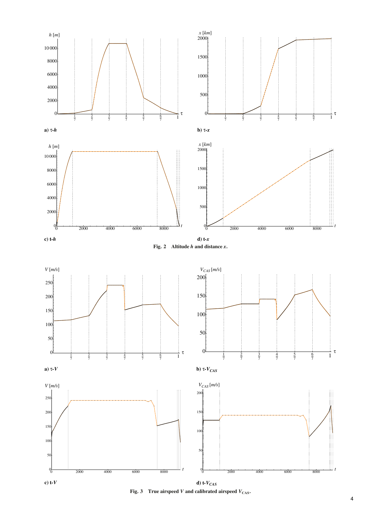

Fig. 3 True airspeed V and calibrated airspeed  $V_{\text{CAS}}$ .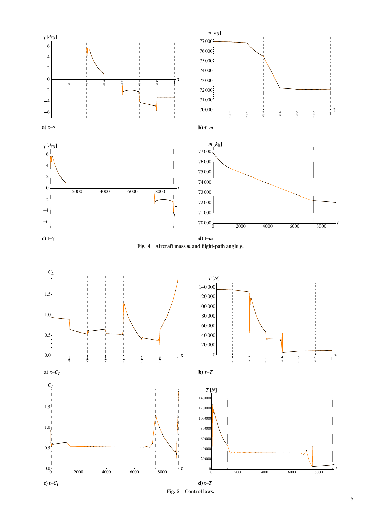

Fig. 5 Control laws.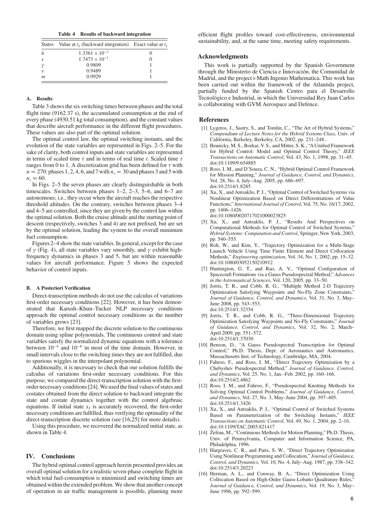Table 4 Results of backward integration

| States         | Value at $t_i$ (backward integration) Exact value at $t_i$ |  |
|----------------|------------------------------------------------------------|--|
|                | $1.3361 \times 10^{-3}$                                    |  |
| x              | $1.7473 \times 10^{-1}$                                    |  |
|                | 0.9809                                                     |  |
| $\eta$         | 0.9489                                                     |  |
| $\mathfrak{m}$ | 0.9929                                                     |  |

### A. Results

Table 3 shows the six switching times between phases and the total flight time (9162.37 s), the accumulated consumption at the end of every phase (4930.51 kg total consumption), and the constant values that describe aircraft performance in the different flight procedures. These values are also part of the optimal solution.

The optimal control law, the optimal switching instants, and the evolution of the state variables are represented in Figs. 2–5. For the sake of clarity, both control inputs and state variables are represented in terms of scaled time  $\tau$  and in terms of real time  $t$ . Scaled time  $\tau$ ranges from 0 to 1. A discretization grid has been defined for  $\tau$  with  $n = 270$ : phases 1, 2, 4, 6, and 7 with  $n<sub>i</sub> = 30$  and phases 3 and 5 with  $n_i = 60$ .

In Figs. 2–5 the seven phases are clearly distinguishable in both timescales. Switches between phases 1–2, 2–3, 5–6, and 6–7 are autonomous; i.e., they occur when the aircraft reaches the respective threshold altitudes. On the contrary, switches between phases 3–4 and 4–5 are controlled, since they are given by the control law within the optimal solution. Both the cruise altitude and the starting point of descent (respectively, switches 3 and 4) are not prefixed, but are set by the optimal solution, leading the system to the overall minimum fuel consumption.

Figures 2–4 show the state variables. In general, except for the case of  $\gamma$  (Fig. 4), all state variables vary smoothly, and  $\gamma$  exhibit highfrequency dynamics in phases 3 and 5, but are within reasonable values for aircraft performance. Figure 5 shows the expected behavior of control inputs.

#### B. A Posteriori Verification

Direct-transcription methods do not use the calculus of variations first-order necessary conditions [22]. However, it has been demonstrated that Karush–Khun–Tucker NLP necessary conditions approach the optimal control necessary conditions as the number of variables grows [23].

Therefore, we first mapped the discrete solution to the continuous domain using spline polynomials. The continuous control and state variables satisfy the normalized dynamic equations with a tolerance between  $10^{-4}$  and  $10^{-6}$  in most of the time domain. However, in small intervals close to the switching times they are not fulfilled, due to spurious wiggles in the interpolant polynomial.

Additionally, it is necessary to check that our solution fulfills the calculus of variations first-order necessary conditions. For this purpose, we compared the direct-transcription solution with the firstorder necessary conditions [24].We used the final values of states and costates obtained from the direct solution to backward integrate the state and costate dynamics together with the control algebraic equations. If initial state  $x<sub>I</sub>$  is accurately recovered, the first-order necessary conditions are fulfilled, thus verifying the optimality of the direct-transcription discrete solution (see [16,25] for more details).

Using this procedure, we recovered the normalized initial state, as shown in Table 4.

#### IV. Conclusions

The hybrid optimal control approach herein presented provides an overall optimal solution for a realistic seven-phase complete flight in which total fuel-consumption is minimized and switching times are obtained within the extended problem. We show that another concept of operation in air traffic management is possible, planning more efficient flight profiles toward cost-effectiveness, environmental sustainability, and, at the same time, meeting safety requirements.

#### Acknowledgments

This work is partially supported by the Spanish Government through the Ministerio de Ciencia e Innovación, the Comunidad de Madrid, and the project i-Math Ingenio Mathematica. This work has been carried out within the framework of the Atlantida project, partially funded by the Spanish Centro para el Desarrollo Tecnológico e Industrial, in which the Universidad Rey Juan Carlos is collaborating with GVM Aerospace and Defence.

#### **References**

- [1] Lygeros, J., Sastry, S., and Tomlin, C., "The Art of Hybrid Systems," Compendium of Lecture Notes for the Hybrid Systems Class, Univ. of California, Berkeley, Berkeley, CA, 2002, pp. 231–248..
- [2] Branicky, M. S., Borkar, V. S., and Mitter, S. K., "A Unified Framework for Hybrid Control: Model and Optimal Control Theory," IEEE Transactions on Automatic Control, Vol. 43, No. 1, 1998, pp. 31–45. doi:10.1109/9.654885
- [3] Ross, I. M., and D'Souza, C. N., "Hybrid Optimal Control Framework for Mission Planning," Journal of Guidance, Control, and Dynamics, Vol. 28, No. 4, July–Aug. 2005, pp. 686–697. doi:10.2514/1.8285
- [4] Xu, X., and Antsaklis, P. J., "Optimal Control of Switched Systems via Nonlinear Optimization Based on Direct Differentiations of Value Functions," International Journal of Control, Vol. 75, No. 16/17, 2002, pp. 1406–1426. doi:10.1080/0020717021000023825
- [5] Xu, X., and Antsaklis, P. J., "Results And Perspectives on Computational Methods for Optimal Control of Switched Systems," Hybrid Systems: Computation and Control, Springer, New York, 2003,
- pp. 540–555. [6] Roh, W., and Kim, Y., "Trajectory Optimization for a Multi-Stage Launch Vehicle Using Time Finite Element and Direct Collocation Methods," Engineering optimization, Vol. 34, No. 1, 2002, pp. 15–32. doi:10.1080/03052150210912
- [7] Huntington, G. T., and Rao, A. V., "Optimal Configuration of Spacecraft Formations via a Gauss Pseudospectral Method," Advances in the Astronautical Sciences, Vol. 120, 2005, pp. 33–50.
- [8] Jorris, T. R., and Cobb, R. G., "Multiple Method 2-D Trajectory Optimization Satisfying Waypoints and No-Fly Zone Constraints," Journal of Guidance, Control, and Dynamics, Vol. 31, No. 3, May– June 2008, pp. 543–553. doi:10.2514/1.32354
- [9] Jorris, T. R., and Cobb, R. G., "Three-Dimensional Trajectory Optimization Satisfying Waypoints and No-Fly Constraints," Journal of Guidance, Control, and Dynamics, Vol. 32, No. 2, March– April 2009, pp. 551–572. doi:10.2514/1.37030
- [10] Benson, D., "A Gauss Pseudospectral Transcription for Optimal Control," Ph.D. Thesis, Dept. of Aeronautics and Astronautics, Massachusetts Inst. of Technology, Cambridge, MA, 2004.
- [11] Fahroo, F., and Ross, I. M., "Direct Trajectory Optimization by a Chebyshev Pseudospectral Method," Journal of Guidance, Control, and Dynamics, Vol. 25, No. 1, Jan.–Feb. 2002, pp. 160–166. doi:10.2514/2.4862
- [12] Ross, I. M., and Fahroo, F., "Pseudospectral Knotting Methods for Solving Optimal Control Problems," Journal of Guidance, Control, and Dynamics, Vol. 27, No. 3, May–June 2004, pp. 397–405. doi:10.2514/1.3426
- [13] Xu, X., and Antsaklis, P. J., "Optimal Control of Switched Systems Based on Parameterization of the Switching Instants," IEEE Transactions on Automatic Control, Vol. 49, No. 1, 2004, pp. 2–16. doi:10.1109/TAC.2003.821417
- [14] *Ž*efran, M., "Continuous Methods for Motion Planning," Ph.D. Thesis, Univ. of Pennsylvania, Computer and Information Science, PA, Philadelphia, 1996.
- [15] Hargraves, C. R., and Paris, S. W., "Direct Trajectory Optimization Using Nonlinear Programming and Collocation," Journal of Guidance, Control, and Dynamics, Vol. 10, No. 4, July–Aug. 1987, pp. 338–342. doi:10.2514/3.20223
- [16] Herman, A. L., and Conway, B. A., "Direct Optimization Using Collocation Based on High-Order Gauss-Lobatto Quadrature Rules," Journal of Guidance, Control, and Dynamics, Vol. 19, No. 3, May– June 1996, pp. 592–599.